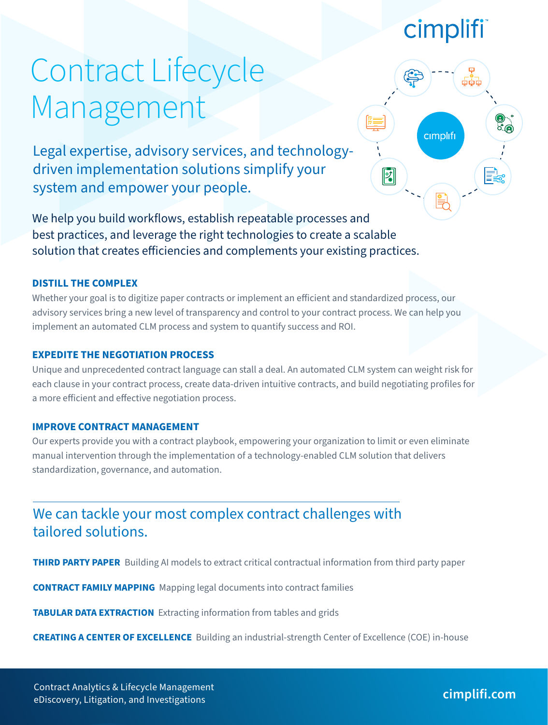## cimplifi

cimplifi

 $\overline{|\mathbf{2}|}$ 

# Contract Lifecycle Management

Legal expertise, advisory services, and technologydriven implementation solutions simplify your system and empower your people.

We help you build workflows, establish repeatable processes and best practices, and leverage the right technologies to create a scalable solution that creates efficiencies and complements your existing practices.

#### **DISTILL THE COMPLEX**

Whether your goal is to digitize paper contracts or implement an efficient and standardized process, our advisory services bring a new level of transparency and control to your contract process. We can help you implement an automated CLM process and system to quantify success and ROI.

#### **EXPEDITE THE NEGOTIATION PROCESS**

Unique and unprecedented contract language can stall a deal. An automated CLM system can weight risk for each clause in your contract process, create data-driven intuitive contracts, and build negotiating profiles for a more efficient and effective negotiation process.

#### **IMPROVE CONTRACT MANAGEMENT**

Our experts provide you with a contract playbook, empowering your organization to limit or even eliminate manual intervention through the implementation of a technology-enabled CLM solution that delivers standardization, governance, and automation.

### We can tackle your most complex contract challenges with tailored solutions.

**THIRD PARTY PAPER** Building AI models to extract critical contractual information from third party paper

**CONTRACT FAMILY MAPPING** Mapping legal documents into contract families

**TABULAR DATA EXTRACTION** Extracting information from tables and grids

**CREATING A CENTER OF EXCELLENCE** Building an industrial-strength Center of Excellence (COE) in-house